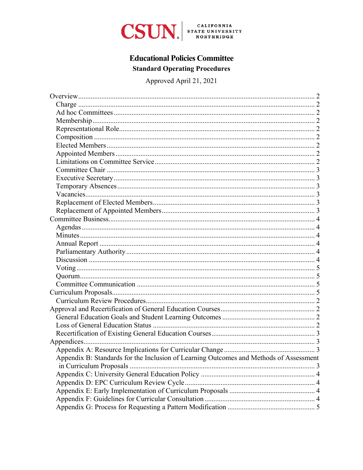

# **Educational Policies Committee Standard Operating Procedures**

Approved April 21, 2021

| Appendix B: Standards for the Inclusion of Learning Outcomes and Methods of Assessment |  |
|----------------------------------------------------------------------------------------|--|
|                                                                                        |  |
|                                                                                        |  |
|                                                                                        |  |
|                                                                                        |  |
|                                                                                        |  |
|                                                                                        |  |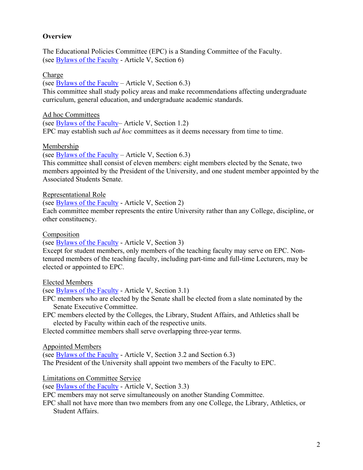### <span id="page-1-0"></span>**Overview**

The Educational Policies Committee (EPC) is a Standing Committee of the Faculty. (see [Bylaws of the Faculty](https://www.csun.edu/sites/default/files/Bylaws.pdf) - Article V, Section 6)

### <span id="page-1-1"></span>Charge

(see  $Bylaws$  of the Faculty – Article V, Section 6.3) This committee shall study policy areas and make recommendations affecting undergraduate curriculum, general education, and undergraduate academic standards.

<span id="page-1-2"></span>Ad hoc Committees

(see [Bylaws of the Faculty–](https://www.csun.edu/sites/default/files/Bylaws.pdf) Article V, Section 1.2) EPC may establish such *ad hoc* committees as it deems necessary from time to time.

### <span id="page-1-3"></span>Membership

(see [Bylaws of the Faculty](https://www.csun.edu/sites/default/files/Bylaws.pdf) – Article V, Section  $6.3$ )

This committee shall consist of eleven members: eight members elected by the Senate, two members appointed by the President of the University, and one student member appointed by the Associated Students Senate.

<span id="page-1-4"></span>Representational Role

(see [Bylaws of the Faculty](https://www.csun.edu/sites/default/files/Bylaws.pdf) - Article V, Section 2)

Each committee member represents the entire University rather than any College, discipline, or other constituency.

<span id="page-1-5"></span>Composition

(see [Bylaws of the Faculty](https://www.csun.edu/sites/default/files/Bylaws.pdf) - Article V, Section 3)

Except for student members, only members of the teaching faculty may serve on EPC. Nontenured members of the teaching faculty, including part-time and full-time Lecturers, may be elected or appointed to EPC.

<span id="page-1-6"></span>Elected Members

(see [Bylaws of the Faculty](https://www.csun.edu/sites/default/files/Bylaws.pdf) - Article V, Section 3.1)

EPC members who are elected by the Senate shall be elected from a slate nominated by the Senate Executive Committee.

EPC members elected by the Colleges, the Library, Student Affairs, and Athletics shall be elected by Faculty within each of the respective units.

<span id="page-1-7"></span>Elected committee members shall serve overlapping three-year terms.

Appointed Members

(see [Bylaws of the Faculty](https://www.csun.edu/sites/default/files/Bylaws.pdf) - Article V, Section 3.2 and Section 6.3) The President of the University shall appoint two members of the Faculty to EPC.

<span id="page-1-8"></span>Limitations on Committee Service

(see [Bylaws of the Faculty](https://www.csun.edu/sites/default/files/Bylaws.pdf) - Article V, Section 3.3)

EPC members may not serve simultaneously on another Standing Committee.

EPC shall not have more than two members from any one College, the Library, Athletics, or Student Affairs.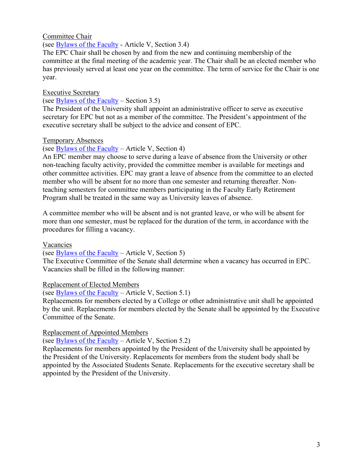### <span id="page-2-0"></span>Committee Chair

(see [Bylaws of the Faculty](https://www.csun.edu/sites/default/files/Bylaws.pdf) - Article V, Section 3.4)

The EPC Chair shall be chosen by and from the new and continuing membership of the committee at the final meeting of the academic year. The Chair shall be an elected member who has previously served at least one year on the committee. The term of service for the Chair is one year.

### <span id="page-2-1"></span>Executive Secretary

#### (see [Bylaws of the Faculty](https://www.csun.edu/sites/default/files/Bylaws.pdf) – Section 3.5)

The President of the University shall appoint an administrative officer to serve as executive secretary for EPC but not as a member of the committee. The President's appointment of the executive secretary shall be subject to the advice and consent of EPC.

### <span id="page-2-2"></span>Temporary Absences

### (see [Bylaws of the Faculty](https://www.csun.edu/sites/default/files/Bylaws.pdf) – Article V, Section 4)

An EPC member may choose to serve during a leave of absence from the University or other non-teaching faculty activity, provided the committee member is available for meetings and other committee activities. EPC may grant a leave of absence from the committee to an elected member who will be absent for no more than one semester and returning thereafter. Nonteaching semesters for committee members participating in the Faculty Early Retirement Program shall be treated in the same way as University leaves of absence.

A committee member who will be absent and is not granted leave, or who will be absent for more than one semester, must be replaced for the duration of the term, in accordance with the procedures for filling a vacancy.

#### <span id="page-2-3"></span>Vacancies

(see [Bylaws of the Faculty](https://www.csun.edu/sites/default/files/Bylaws.pdf) – Article V, Section 5)

The Executive Committee of the Senate shall determine when a vacancy has occurred in EPC. Vacancies shall be filled in the following manner:

### <span id="page-2-4"></span>Replacement of Elected Members

(see [Bylaws of the Faculty](https://www.csun.edu/sites/default/files/Bylaws.pdf) – Article V, Section 5.1)

Replacements for members elected by a College or other administrative unit shall be appointed by the unit. Replacements for members elected by the Senate shall be appointed by the Executive Committee of the Senate.

### <span id="page-2-5"></span>Replacement of Appointed Members

(see [Bylaws of the Faculty](https://www.csun.edu/sites/default/files/Bylaws.pdf) – Article V, Section 5.2)

Replacements for members appointed by the President of the University shall be appointed by the President of the University. Replacements for members from the student body shall be appointed by the Associated Students Senate. Replacements for the executive secretary shall be appointed by the President of the University.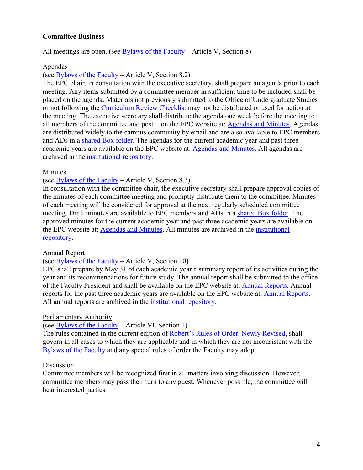### <span id="page-3-0"></span>**Committee Business**

All meetings are open. (see [Bylaws of the Faculty](https://www.csun.edu/sites/default/files/Bylaws.pdf) – Article V, Section 8)

#### <span id="page-3-1"></span>Agendas

(see [Bylaws of the Faculty](https://www.csun.edu/sites/default/files/Bylaws.pdf) – Article V, Section 8.2)

The EPC chair, in consultation with the executive secretary, shall prepare an agenda prior to each meeting. Any items submitted by a committee member in sufficient time to be included shall be placed on the agenda. Materials not previously submitted to the Office of Undergraduate Studies or not following the [Curriculum Review Checklist](https://www.csun.edu/sites/default/files/epc_checklist.pdf) may not be distributed or used for action at the meeting. The executive secretary shall distribute the agenda one week before the meeting to all members of the committee and post it on the EPC website at: [Agendas and Minutes.](https://www.csun.edu/educational-policies-committee/agendas-minutes) Agendas are distributed widely to the campus community by email and are also available to EPC members and ADs in a [shared Box folder.](https://mycsun.app.box.com/folder/84566194443) The agendas for the current academic year and past three academic years are available on the EPC website at: [Agendas and Minutes.](https://www.csun.edu/educational-policies-committee/agendas-minutes) All agendas are archived in the [institutional repository.](http://scholarworks.csun.edu/handle/10211.3/130214)

#### <span id="page-3-2"></span>Minutes

### (see [Bylaws of the Faculty](https://www.csun.edu/sites/default/files/Bylaws.pdf) – Article V, Section 8.3)

In consultation with the committee chair, the executive secretary shall prepare approval copies of the minutes of each committee meeting and promptly distribute them to the committee. Minutes of each meeting will be considered for approval at the next regularly scheduled committee meeting. Draft minutes are available to EPC members and ADs in a [shared Box folder.](https://mycsun.app.box.com/folder/84565547486) The approved minutes for the current academic year and past three academic years are available on the EPC website at: [Agendas and Minutes.](https://www.csun.edu/educational-policies-committee/agendas-minutes) All minutes are archived in the [institutional](http://scholarworks.csun.edu/handle/10211.3/130214)  [repository.](http://scholarworks.csun.edu/handle/10211.3/130214)

#### <span id="page-3-3"></span>Annual Report

#### (see [Bylaws of the Faculty](https://www.csun.edu/sites/default/files/Bylaws.pdf) – Article V, Section 10)

EPC shall prepare by May 31 of each academic year a summary report of its activities during the year and its recommendations for future study. The annual report shall be submitted to the office of the Faculty President and shall be available on the EPC website at: [Annual Reports.](https://www.csun.edu/educational-policies-committee/annual-reports) Annual reports for the past three academic years are available on the EPC website at: [Annual Reports.](https://www.csun.edu/educational-policies-committee/annual-reports) All annual reports are archived in the [institutional repository.](http://scholarworks.csun.edu/handle/10211.3/130214)

#### <span id="page-3-4"></span>Parliamentary Authority

(see [Bylaws of the Faculty](https://www.csun.edu/sites/default/files/Bylaws.pdf) – Article VI, Section 1)

The rules contained in the current edition of [Robert's Rules of Order, Newly Revised,](https://www.csun.edu/faculty-senate/roberts-rules-order) shall govern in all cases to which they are applicable and in which they are not inconsistent with the [Bylaws of the Faculty](https://www.csun.edu/sites/default/files/Bylaws.pdf) and any special rules of order the Faculty may adopt.

#### <span id="page-3-5"></span>Discussion

<span id="page-3-6"></span>Committee members will be recognized first in all matters involving discussion. However, committee members may pass their turn to any guest. Whenever possible, the committee will hear interested parties.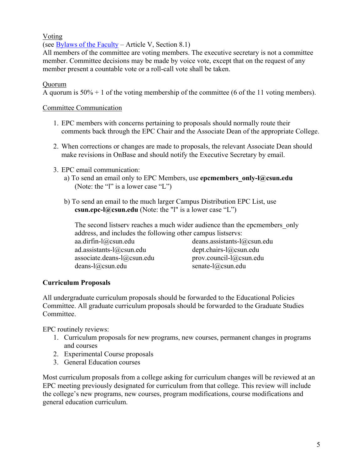### Voting

(see [Bylaws of the Faculty](https://www.csun.edu/sites/default/files/Bylaws.pdf) – Article V, Section 8.1)

All members of the committee are voting members. The executive secretary is not a committee member. Committee decisions may be made by voice vote, except that on the request of any member present a countable vote or a roll-call vote shall be taken.

### <span id="page-4-0"></span>Quorum

A quorum is  $50\% + 1$  of the voting membership of the committee (6 of the 11 voting members).

### <span id="page-4-1"></span>Committee Communication

- 1. EPC members with concerns pertaining to proposals should normally route their comments back through the EPC Chair and the Associate Dean of the appropriate College.
- 2. When corrections or changes are made to proposals, the relevant Associate Dean should make revisions in OnBase and should notify the Executive Secretary by email.
- 3. EPC email communication:
	- a) To send an email only to EPC Members, use **epcmembers\_only-l@csun.edu**  (Note: the "l" is a lower case "L")
	- b) To send an email to the much larger Campus Distribution EPC List, use **csun.epc-l**@csun.edu (Note: the "l" is a lower case "L")

The second listserv reaches a much wider audience than the epcmembers only address, and includes the following other campus listservs:

aa.dirfin-l@csun.edu ad.assistants-l@csun.edu associate.deans-l@csun.edu deans-l@csun.edu

deans.assistants-l@csun.edu dept.chairs-l@csun.edu prov.council-l@csun.edu senate-l@csun.edu

### <span id="page-4-2"></span>**Curriculum Proposals**

All undergraduate curriculum proposals should be forwarded to the Educational Policies Committee. All graduate curriculum proposals should be forwarded to the Graduate Studies Committee.

EPC routinely reviews:

- 1. Curriculum proposals for new programs, new courses, permanent changes in programs and courses
- 2. Experimental Course proposals
- 3. General Education courses

Most curriculum proposals from a college asking for curriculum changes will be reviewed at an EPC meeting previously designated for curriculum from that college. This review will include the college's new programs, new courses, program modifications, course modifications and general education curriculum.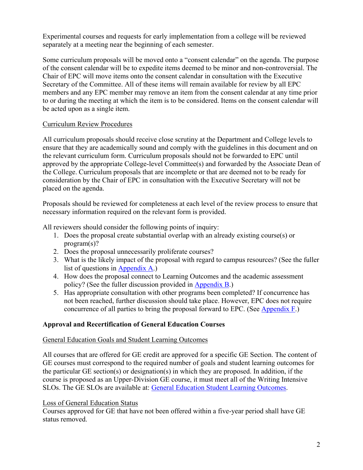Experimental courses and requests for early implementation from a college will be reviewed separately at a meeting near the beginning of each semester.

Some curriculum proposals will be moved onto a "consent calendar" on the agenda. The purpose of the consent calendar will be to expedite items deemed to be minor and non-controversial. The Chair of EPC will move items onto the consent calendar in consultation with the Executive Secretary of the Committee. All of these items will remain available for review by all EPC members and any EPC member may remove an item from the consent calendar at any time prior to or during the meeting at which the item is to be considered. Items on the consent calendar will be acted upon as a single item.

# <span id="page-5-0"></span>Curriculum Review Procedures

All curriculum proposals should receive close scrutiny at the Department and College levels to ensure that they are academically sound and comply with the guidelines in this document and on the relevant curriculum form. Curriculum proposals should not be forwarded to EPC until approved by the appropriate College-level Committee(s) and forwarded by the Associate Dean of the College. Curriculum proposals that are incomplete or that are deemed not to be ready for consideration by the Chair of EPC in consultation with the Executive Secretary will not be placed on the agenda.

Proposals should be reviewed for completeness at each level of the review process to ensure that necessary information required on the relevant form is provided.

All reviewers should consider the following points of inquiry:

- 1. Does the proposal create substantial overlap with an already existing course(s) or program(s)?
- 2. Does the proposal unnecessarily proliferate courses?
- 3. What is the likely impact of the proposal with regard to campus resources? (See the fuller list of questions in [Appendix A.](#page-6-2))
- 4. How does the proposal connect to Learning Outcomes and the academic assessment policy? (See the fuller discussion provided in [Appendix B.](#page-6-3))
- 5. Has appropriate consultation with other programs been completed? If concurrence has not been reached, further discussion should take place. However, EPC does not require concurrence of all parties to bring the proposal forward to EPC. (See [Appendix F.](#page-7-3))

# <span id="page-5-1"></span>**Approval and Recertification of General Education Courses**

### <span id="page-5-2"></span>General Education Goals and Student Learning Outcomes

All courses that are offered for GE credit are approved for a specific GE Section. The content of GE courses must correspond to the required number of goals and student learning outcomes for the particular GE section(s) or designation(s) in which they are proposed. In addition, if the course is proposed as an Upper-Division GE course, it must meet all of the Writing Intensive SLOs. The GE SLOs are available at: [General Education Student Learning Outcomes.](https://catalog.csun.edu/general-education/student-learning-outcomes/)

# <span id="page-5-3"></span>Loss of General Education Status

Courses approved for GE that have not been offered within a five-year period shall have GE status removed.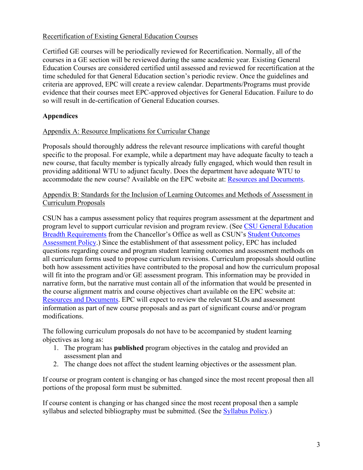### <span id="page-6-0"></span>Recertification of Existing General Education Courses

Certified GE courses will be periodically reviewed for Recertification. Normally, all of the courses in a GE section will be reviewed during the same academic year. Existing General Education Courses are considered certified until assessed and reviewed for recertification at the time scheduled for that General Education section's periodic review. Once the guidelines and criteria are approved, EPC will create a review calendar. Departments/Programs must provide evidence that their courses meet EPC-approved objectives for General Education. Failure to do so will result in de-certification of General Education courses.

# <span id="page-6-1"></span>**Appendices**

### <span id="page-6-2"></span>Appendix A: [Resource Implications for Curricular Change](https://www.csun.edu/sites/default/files/resource_implications.pdf)

Proposals should thoroughly address the relevant resource implications with careful thought specific to the proposal. For example, while a department may have adequate faculty to teach a new course, that faculty member is typically already fully engaged, which would then result in providing additional WTU to adjunct faculty. Does the department have adequate WTU to accommodate the new course? Available on the EPC website at: [Resources and Documents.](https://www.csun.edu/educational-policies-committee/epc-resources-and-documents)

<span id="page-6-3"></span>Appendix B: Standards for the Inclusion of Learning Outcomes and Methods of Assessment in Curriculum Proposals

CSUN has a campus assessment policy that requires program assessment at the department and program level to support curricular revision and program review. (See [CSU General Education](https://calstate.policystat.com/policy/6741976/latest/)  [Breadth Requirements](https://calstate.policystat.com/policy/6741976/latest/) from the Chancellor's Office as well as CSUN's [Student Outcomes](https://catalog.csun.edu/policies/student-outcomes-assessment-policy/)  [Assessment Policy.](https://catalog.csun.edu/policies/student-outcomes-assessment-policy/)) Since the establishment of that assessment policy, EPC has included questions regarding course and program student learning outcomes and assessment methods on all curriculum forms used to propose curriculum revisions. Curriculum proposals should outline both how assessment activities have contributed to the proposal and how the curriculum proposal will fit into the program and/or GE assessment program. This information may be provided in narrative form, but the narrative must contain all of the information that would be presented in the course alignment matrix and course objectives chart available on the EPC website at: [Resources and Documents.](https://www.csun.edu/educational-policies-committee/epc-resources-and-documents) EPC will expect to review the relevant SLOs and assessment information as part of new course proposals and as part of significant course and/or program modifications.

The following curriculum proposals do not have to be accompanied by student learning objectives as long as:

- 1. The program has **published** program objectives in the catalog and provided an assessment plan and
- 2. The change does not affect the student learning objectives or the assessment plan.

If course or program content is changing or has changed since the most recent proposal then all portions of the proposal form must be submitted.

If course content is changing or has changed since the most recent proposal then a sample syllabus and selected bibliography must be submitted. (See the [Syllabus Policy.](https://catalog.csun.edu/policies/syllabus-policy/))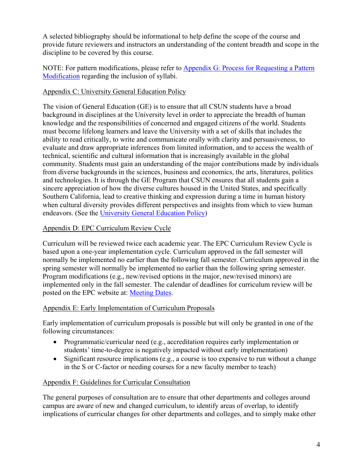A selected bibliography should be informational to help define the scope of the course and provide future reviewers and instructors an understanding of the content breadth and scope in the discipline to be covered by this course.

NOTE: For pattern modifications, please refer to Appendix G: [Process for Requesting a Pattern](#page-8-0)  [Modification](#page-8-0) regarding the inclusion of syllabi.

### <span id="page-7-0"></span>Appendix C: University General Education Policy

The vision of General Education (GE) is to ensure that all CSUN students have a broad background in disciplines at the University level in order to appreciate the breadth of human knowledge and the responsibilities of concerned and engaged citizens of the world. Students must become lifelong learners and leave the University with a set of skills that includes the ability to read critically, to write and communicate orally with clarity and persuasiveness, to evaluate and draw appropriate inferences from limited information, and to access the wealth of technical, scientific and cultural information that is increasingly available in the global community. Students must gain an understanding of the major contributions made by individuals from diverse backgrounds in the sciences, business and economics, the arts, literatures, politics and technologies. It is through the GE Program that CSUN ensures that all students gain a sincere appreciation of how the diverse cultures housed in the United States, and specifically Southern California, lead to creative thinking and expression during a time in human history when cultural diversity provides different perspectives and insights from which to view human endeavors. (See the [University General Education Policy\)](https://catalog.csun.edu/general-education/student-learning-outcomes/)

# <span id="page-7-1"></span>Appendix D: EPC Curriculum Review Cycle

Curriculum will be reviewed twice each academic year. The EPC Curriculum Review Cycle is based upon a one-year implementation cycle. Curriculum approved in the fall semester will normally be implemented no earlier than the following fall semester. Curriculum approved in the spring semester will normally be implemented no earlier than the following spring semester. Program modifications (e.g., new/revised options in the major, new/revised minors) are implemented only in the fall semester. The calendar of deadlines for curriculum review will be posted on the EPC website at: [Meeting Dates.](https://www.csun.edu/educational-policies-committee/meeting-dates)

### <span id="page-7-2"></span>Appendix E: Early Implementation of Curriculum Proposals

Early implementation of curriculum proposals is possible but will only be granted in one of the following circumstances:

- Programmatic/curricular need (e.g., accreditation requires early implementation or students' time-to-degree is negatively impacted without early implementation)
- Significant resource implications (e.g., a course is too expensive to run without a change in the S or C-factor or needing courses for a new faculty member to teach)

# <span id="page-7-3"></span>Appendix F: [Guidelines for Curricular Consultation](https://www.csun.edu/sites/default/files/epc_guidelines_for_curricular_consultation.pdf)

The general purposes of consultation are to ensure that other departments and colleges around campus are aware of new and changed curriculum, to identify areas of overlap, to identify implications of curricular changes for other departments and colleges, and to simply make other